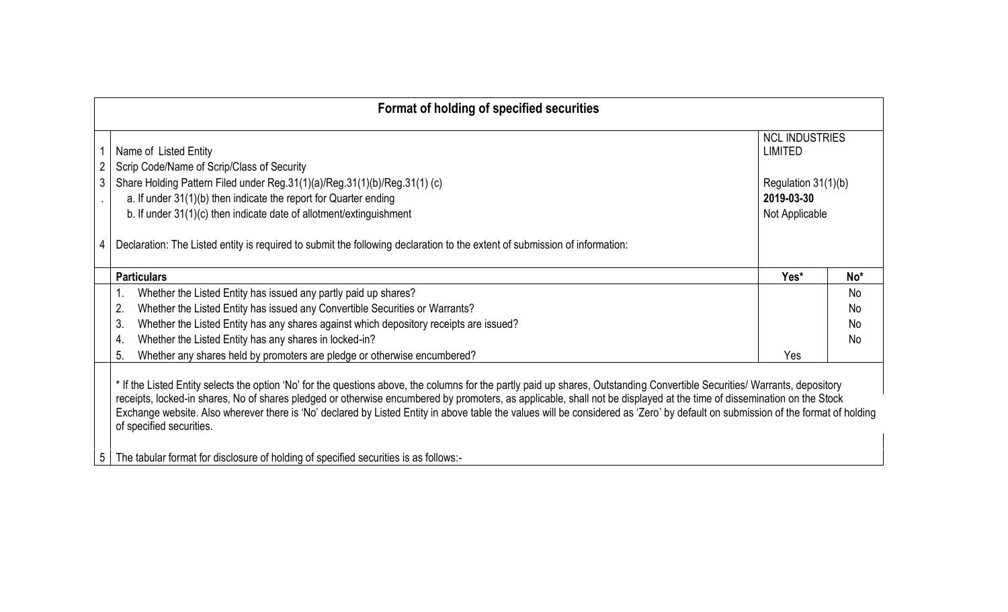|   | Format of holding of specified securities                                                                                                                                                                                                                                                                                                                                                                                                                                                                                                                             |                                         |                 |
|---|-----------------------------------------------------------------------------------------------------------------------------------------------------------------------------------------------------------------------------------------------------------------------------------------------------------------------------------------------------------------------------------------------------------------------------------------------------------------------------------------------------------------------------------------------------------------------|-----------------------------------------|-----------------|
|   | Name of Listed Entity                                                                                                                                                                                                                                                                                                                                                                                                                                                                                                                                                 | <b>NCL INDUSTRIES</b><br><b>LIMITED</b> |                 |
|   | Scrip Code/Name of Scrip/Class of Security                                                                                                                                                                                                                                                                                                                                                                                                                                                                                                                            |                                         |                 |
| 3 | Share Holding Pattern Filed under Reg.31(1)(a)/Reg.31(1)(b)/Reg.31(1) (c)                                                                                                                                                                                                                                                                                                                                                                                                                                                                                             | Regulation 31(1)(b)                     |                 |
|   | a. If under $31(1)(b)$ then indicate the report for Quarter ending                                                                                                                                                                                                                                                                                                                                                                                                                                                                                                    | 2019-03-30                              |                 |
|   | b. If under 31(1)(c) then indicate date of allotment/extinguishment                                                                                                                                                                                                                                                                                                                                                                                                                                                                                                   | Not Applicable                          |                 |
|   | Declaration: The Listed entity is required to submit the following declaration to the extent of submission of information:                                                                                                                                                                                                                                                                                                                                                                                                                                            |                                         |                 |
|   | <b>Particulars</b>                                                                                                                                                                                                                                                                                                                                                                                                                                                                                                                                                    | Yes*                                    | No <sup>*</sup> |
|   | Whether the Listed Entity has issued any partly paid up shares?<br>1.                                                                                                                                                                                                                                                                                                                                                                                                                                                                                                 |                                         | <b>No</b>       |
|   | Whether the Listed Entity has issued any Convertible Securities or Warrants?<br>2.                                                                                                                                                                                                                                                                                                                                                                                                                                                                                    |                                         | <b>No</b>       |
|   | Whether the Listed Entity has any shares against which depository receipts are issued?<br>3                                                                                                                                                                                                                                                                                                                                                                                                                                                                           |                                         | <b>No</b>       |
|   | Whether the Listed Entity has any shares in locked-in?<br>4.                                                                                                                                                                                                                                                                                                                                                                                                                                                                                                          |                                         | <b>No</b>       |
|   | Whether any shares held by promoters are pledge or otherwise encumbered?<br>5.                                                                                                                                                                                                                                                                                                                                                                                                                                                                                        | Yes                                     |                 |
|   | * If the Listed Entity selects the option 'No' for the questions above, the columns for the partly paid up shares, Outstanding Convertible Securities/ Warrants, depository<br>receipts, locked-in shares, No of shares pledged or otherwise encumbered by promoters, as applicable, shall not be displayed at the time of dissemination on the Stock<br>Exchange website. Also wherever there is 'No' declared by Listed Entity in above table the values will be considered as 'Zero' by default on submission of the format of holding<br>of specified securities. |                                         |                 |

5 The tabular format for disclosure of holding of specified securities is as follows:-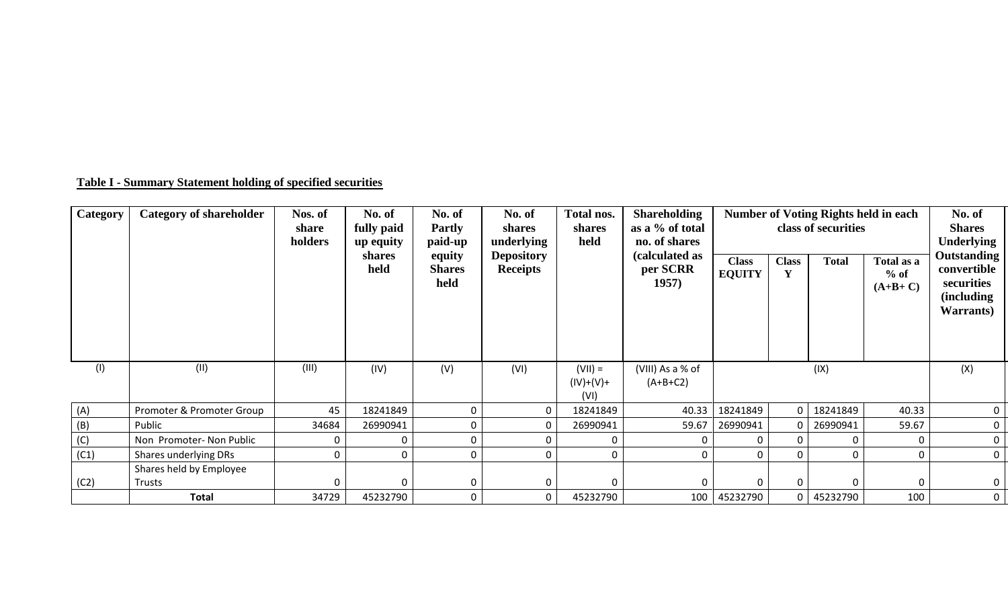## **Table I - Summary Statement holding of specified securities**

| Category | <b>Category of shareholder</b> | Nos. of<br>share<br>holders | No. of<br>fully paid<br>up equity<br>shares<br>held | No. of<br><b>Partly</b><br>paid-up<br>equity<br><b>Shares</b><br>held | No. of<br>shares<br>underlying<br><b>Depository</b><br><b>Receipts</b> | Total nos.<br>shares<br>held     | <b>Shareholding</b><br>as a % of total<br>no. of shares<br>(calculated as<br>per SCRR<br>1957) | <b>Class</b><br><b>EQUITY</b> | <b>Class</b><br>$\mathbf{V}$ | <b>Number of Voting Rights held in each</b><br>class of securities<br><b>Total</b> | Total as a<br>$%$ of<br>$(A+B+C)$ | No. of<br><b>Shares</b><br><b>Underlying</b><br><b>Outstanding</b><br>convertible<br>securities<br><i>(including)</i><br><b>Warrants</b> ) |
|----------|--------------------------------|-----------------------------|-----------------------------------------------------|-----------------------------------------------------------------------|------------------------------------------------------------------------|----------------------------------|------------------------------------------------------------------------------------------------|-------------------------------|------------------------------|------------------------------------------------------------------------------------|-----------------------------------|--------------------------------------------------------------------------------------------------------------------------------------------|
| (1)      | (II)                           | (III)                       | (IV)                                                | (V)                                                                   | (VI)                                                                   | $(VII) =$<br>$(IV)+(V)+$<br>(VI) | (VIII) As a % of<br>$(A+B+C2)$                                                                 |                               |                              | (IX)                                                                               |                                   | (X)                                                                                                                                        |
| (A)      | Promoter & Promoter Group      | 45                          | 18241849                                            |                                                                       |                                                                        | 18241849                         | 40.33                                                                                          | 18241849                      |                              | 18241849                                                                           | 40.33                             |                                                                                                                                            |
| (B)      | Public                         | 34684                       | 26990941                                            |                                                                       |                                                                        | 26990941                         | 59.67                                                                                          | 26990941                      |                              | 26990941                                                                           | 59.67                             |                                                                                                                                            |
| (C)      | Non Promoter- Non Public       |                             |                                                     |                                                                       |                                                                        |                                  |                                                                                                |                               |                              | $\Omega$                                                                           |                                   |                                                                                                                                            |
| (C1)     | Shares underlying DRs          |                             |                                                     |                                                                       |                                                                        |                                  | $\Omega$                                                                                       | $\Omega$                      |                              | $\Omega$                                                                           |                                   |                                                                                                                                            |
|          | Shares held by Employee        |                             |                                                     |                                                                       |                                                                        |                                  |                                                                                                |                               |                              |                                                                                    |                                   |                                                                                                                                            |
| (C2)     | Trusts                         |                             |                                                     |                                                                       |                                                                        |                                  |                                                                                                |                               |                              | $\Omega$                                                                           |                                   |                                                                                                                                            |
|          | <b>Total</b>                   | 34729                       | 45232790                                            | $\Omega$                                                              |                                                                        | 45232790                         |                                                                                                | 100 45232790                  |                              | 45232790                                                                           | 100                               |                                                                                                                                            |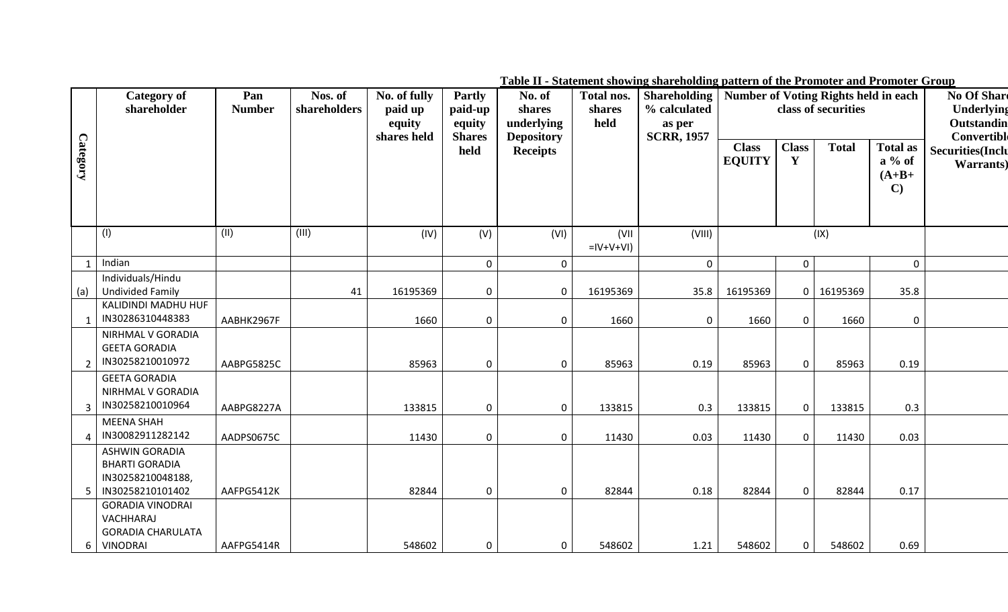|                 | <b>Category of</b><br>shareholder                                                            | Pan<br><b>Number</b> | Nos. of<br>shareholders | No. of fully<br>paid up<br>equity | Partly<br>paid-up<br>equity | No. of<br>shares<br>underlying       | Total nos.<br><b>Shareholding</b><br>% calculated<br>shares<br>held<br>as per | <b>Number of Voting Rights held in each</b> |                               | class of securities          |              | No Of Share<br>Underlying<br>Outstandin                |                                                              |
|-----------------|----------------------------------------------------------------------------------------------|----------------------|-------------------------|-----------------------------------|-----------------------------|--------------------------------------|-------------------------------------------------------------------------------|---------------------------------------------|-------------------------------|------------------------------|--------------|--------------------------------------------------------|--------------------------------------------------------------|
| <b>Category</b> |                                                                                              |                      |                         | shares held                       | <b>Shares</b><br>held       | <b>Depository</b><br><b>Receipts</b> |                                                                               | <b>SCRR, 1957</b>                           | <b>Class</b><br><b>EQUITY</b> | <b>Class</b><br>$\mathbf{Y}$ | <b>Total</b> | <b>Total as</b><br>$a\%$ of<br>$(A+B+$<br>$\mathbf{C}$ | Convertible<br><b>Securities</b> (Inclu<br><b>Warrants</b> ) |
|                 | (1)                                                                                          | (II)                 | (III)                   | (IV)                              | (V)                         | (VI)                                 | (VII<br>$=$ IV+V+VI)                                                          | (VIII)                                      |                               |                              | (IX)         |                                                        |                                                              |
|                 | Indian                                                                                       |                      |                         |                                   | $\mathbf 0$                 | $\overline{0}$                       |                                                                               | $\mathbf{0}$                                |                               | $\overline{0}$               |              | $\mathbf 0$                                            |                                                              |
|                 | Individuals/Hindu                                                                            |                      |                         |                                   |                             |                                      |                                                                               |                                             |                               |                              |              |                                                        |                                                              |
| (a)             | <b>Undivided Family</b>                                                                      |                      | 41                      | 16195369                          | $\mathbf 0$                 | $\overline{0}$                       | 16195369                                                                      | 35.8                                        | 16195369                      |                              | 0   16195369 | 35.8                                                   |                                                              |
|                 | KALIDINDI MADHU HUF<br>IN30286310448383                                                      | AABHK2967F           |                         | 1660                              | $\Omega$                    | $\Omega$                             | 1660                                                                          | $\mathbf 0$                                 | 1660                          | $\mathbf 0$                  | 1660         | $\Omega$                                               |                                                              |
|                 | NIRHMAL V GORADIA<br><b>GEETA GORADIA</b><br>IN30258210010972<br>$\overline{2}$              | AABPG5825C           |                         | 85963                             | $\Omega$                    | $\mathbf{0}$                         | 85963                                                                         | 0.19                                        | 85963                         | $\mathbf 0$                  | 85963        | 0.19                                                   |                                                              |
|                 | <b>GEETA GORADIA</b><br>NIRHMAL V GORADIA<br>IN30258210010964<br>3 <sup>1</sup>              | AABPG8227A           |                         | 133815                            | $\Omega$                    | $\mathbf{0}$                         | 133815                                                                        | 0.3                                         | 133815                        | $\mathbf 0$                  | 133815       | 0.3                                                    |                                                              |
|                 | <b>MEENA SHAH</b><br>IN30082911282142                                                        | AADPS0675C           |                         | 11430                             | $\Omega$                    | $\overline{0}$                       | 11430                                                                         | 0.03                                        | 11430                         | $\mathbf 0$                  | 11430        | 0.03                                                   |                                                              |
|                 | <b>ASHWIN GORADIA</b><br><b>BHARTI GORADIA</b><br>IN30258210048188,<br>IN30258210101402<br>5 | AAFPG5412K           |                         | 82844                             | $\Omega$                    | $\Omega$                             | 82844                                                                         | 0.18                                        | 82844                         | $\mathbf 0$                  | 82844        | 0.17                                                   |                                                              |
|                 | <b>GORADIA VINODRAI</b><br>VACHHARAJ<br><b>GORADIA CHARULATA</b><br>6 VINODRAI               | AAFPG5414R           |                         | 548602                            | $\mathbf{0}$                | 0 <sup>1</sup>                       | 548602                                                                        | 1.21                                        | 548602                        | $\mathbf{0}$                 | 548602       | 0.69                                                   |                                                              |

**Table II - Statement showing shareholding pattern of the Promoter and Promoter Group**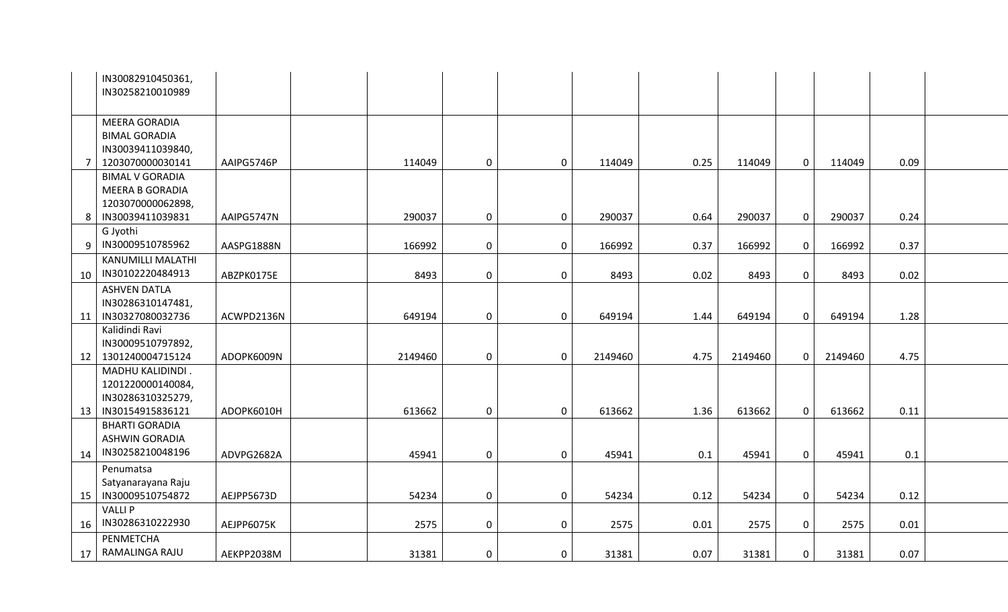|    | IN30082910450361,<br>IN30258210010989    |            |         |             |             |         |      |         |              |         |      |  |
|----|------------------------------------------|------------|---------|-------------|-------------|---------|------|---------|--------------|---------|------|--|
|    |                                          |            |         |             |             |         |      |         |              |         |      |  |
|    | <b>MEERA GORADIA</b>                     |            |         |             |             |         |      |         |              |         |      |  |
|    | <b>BIMAL GORADIA</b>                     |            |         |             |             |         |      |         |              |         |      |  |
|    | IN30039411039840,                        |            |         |             |             |         |      |         |              |         |      |  |
| 7  | 1203070000030141                         | AAIPG5746P | 114049  | 0           | 0           | 114049  | 0.25 | 114049  | $\mathbf{0}$ | 114049  | 0.09 |  |
|    | <b>BIMAL V GORADIA</b>                   |            |         |             |             |         |      |         |              |         |      |  |
|    | MEERA B GORADIA                          |            |         |             |             |         |      |         |              |         |      |  |
|    | 1203070000062898,                        |            |         |             |             |         |      |         |              |         |      |  |
| 8  | IN30039411039831                         | AAIPG5747N | 290037  | $\mathbf 0$ | 0           | 290037  | 0.64 | 290037  | $\mathbf 0$  | 290037  | 0.24 |  |
|    | G Jyothi<br>IN30009510785962             |            |         |             |             |         |      |         |              |         |      |  |
| 9  | <b>KANUMILLI MALATHI</b>                 | AASPG1888N | 166992  | $\mathbf 0$ | $\mathbf 0$ | 166992  | 0.37 | 166992  | $\mathbf 0$  | 166992  | 0.37 |  |
|    | IN30102220484913                         |            |         |             |             |         |      |         |              |         |      |  |
| 10 |                                          | ABZPK0175E | 8493    | 0           | 0           | 8493    | 0.02 | 8493    | $\mathbf 0$  | 8493    | 0.02 |  |
|    | <b>ASHVEN DATLA</b><br>IN30286310147481, |            |         |             |             |         |      |         |              |         |      |  |
| 11 | IN30327080032736                         | ACWPD2136N | 649194  | 0           | 0           | 649194  | 1.44 | 649194  | $\mathbf 0$  | 649194  | 1.28 |  |
|    | Kalidindi Ravi                           |            |         |             |             |         |      |         |              |         |      |  |
|    | IN30009510797892,                        |            |         |             |             |         |      |         |              |         |      |  |
| 12 | 1301240004715124                         | ADOPK6009N | 2149460 | 0           | 0           | 2149460 | 4.75 | 2149460 | $\mathbf{0}$ | 2149460 | 4.75 |  |
|    | MADHU KALIDINDI.                         |            |         |             |             |         |      |         |              |         |      |  |
|    | 1201220000140084,                        |            |         |             |             |         |      |         |              |         |      |  |
|    | IN30286310325279,                        |            |         |             |             |         |      |         |              |         |      |  |
| 13 | IN30154915836121                         | ADOPK6010H | 613662  | 0           | 0           | 613662  | 1.36 | 613662  | $\mathbf 0$  | 613662  | 0.11 |  |
|    | <b>BHARTI GORADIA</b>                    |            |         |             |             |         |      |         |              |         |      |  |
|    | <b>ASHWIN GORADIA</b>                    |            |         |             |             |         |      |         |              |         |      |  |
| 14 | IN30258210048196                         | ADVPG2682A | 45941   | 0           | 0           | 45941   | 0.1  | 45941   | $\mathbf 0$  | 45941   | 0.1  |  |
|    | Penumatsa                                |            |         |             |             |         |      |         |              |         |      |  |
|    | Satyanarayana Raju                       |            |         |             |             |         |      |         |              |         |      |  |
| 15 | IN30009510754872                         | AEJPP5673D | 54234   | 0           | 0           | 54234   | 0.12 | 54234   | $\mathbf 0$  | 54234   | 0.12 |  |
|    | <b>VALLIP</b>                            |            |         |             |             |         |      |         |              |         |      |  |
| 16 | IN30286310222930                         | AEJPP6075K | 2575    | 0           | $\mathbf 0$ | 2575    | 0.01 | 2575    | $\mathbf 0$  | 2575    | 0.01 |  |
|    | PENMETCHA                                |            |         |             |             |         |      |         |              |         |      |  |
| 17 | RAMALINGA RAJU                           | AEKPP2038M | 31381   | 0           | 0           | 31381   | 0.07 | 31381   | $\mathbf 0$  | 31381   | 0.07 |  |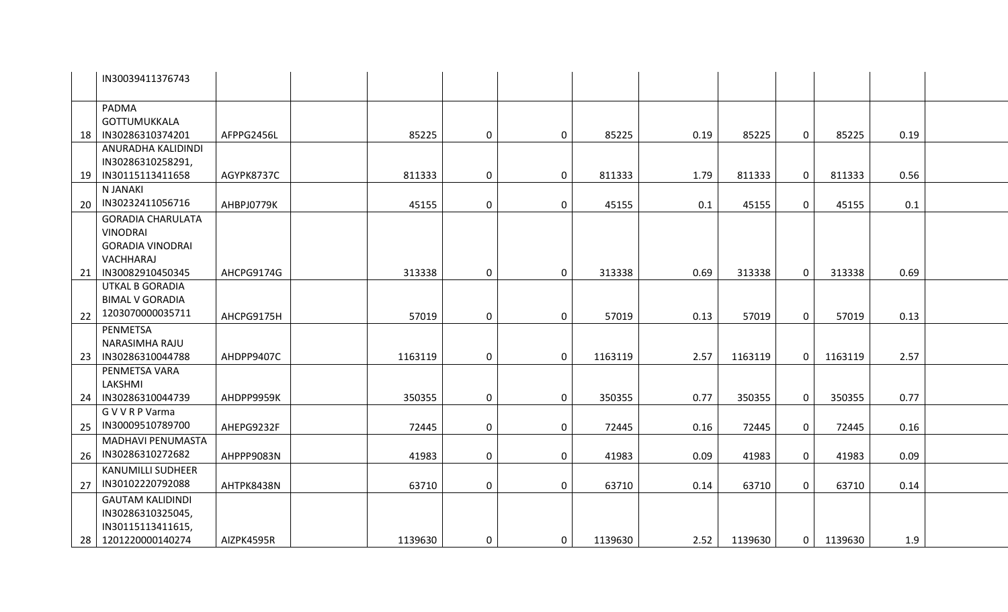|    | IN30039411376743                                 |            |         |             |                  |         |      |         |                |         |      |  |
|----|--------------------------------------------------|------------|---------|-------------|------------------|---------|------|---------|----------------|---------|------|--|
|    | PADMA                                            |            |         |             |                  |         |      |         |                |         |      |  |
|    | <b>GOTTUMUKKALA</b>                              |            |         |             |                  |         |      |         |                |         |      |  |
| 18 | IN30286310374201                                 | AFPPG2456L | 85225   | $\mathbf 0$ | $\mathbf 0$      | 85225   | 0.19 | 85225   | $\mathbf 0$    | 85225   | 0.19 |  |
|    | ANURADHA KALIDINDI                               |            |         |             |                  |         |      |         |                |         |      |  |
|    | IN30286310258291,                                |            |         |             |                  |         |      |         |                |         |      |  |
| 19 | IN30115113411658                                 | AGYPK8737C | 811333  | $\mathbf 0$ | $\mathbf 0$      | 811333  | 1.79 | 811333  | $\mathbf 0$    | 811333  | 0.56 |  |
|    | N JANAKI                                         |            |         |             |                  |         |      |         |                |         |      |  |
| 20 | IN30232411056716                                 | AHBPJ0779K | 45155   | $\mathbf 0$ | $\mathbf 0$      | 45155   | 0.1  | 45155   | $\mathbf 0$    | 45155   | 0.1  |  |
|    | <b>GORADIA CHARULATA</b>                         |            |         |             |                  |         |      |         |                |         |      |  |
|    | <b>VINODRAI</b>                                  |            |         |             |                  |         |      |         |                |         |      |  |
|    | <b>GORADIA VINODRAI</b>                          |            |         |             |                  |         |      |         |                |         |      |  |
|    | VACHHARAJ                                        |            |         |             |                  |         |      |         |                |         |      |  |
| 21 | IN30082910450345                                 | AHCPG9174G | 313338  | 0           | $\mathbf 0$      | 313338  | 0.69 | 313338  | $\mathbf 0$    | 313338  | 0.69 |  |
|    | <b>UTKAL B GORADIA</b><br><b>BIMAL V GORADIA</b> |            |         |             |                  |         |      |         |                |         |      |  |
|    | 1203070000035711                                 |            |         |             |                  |         |      |         |                |         |      |  |
| 22 |                                                  | AHCPG9175H | 57019   | $\mathbf 0$ | $\mathbf 0$      | 57019   | 0.13 | 57019   | $\mathbf 0$    | 57019   | 0.13 |  |
|    | PENMETSA<br>NARASIMHA RAJU                       |            |         |             |                  |         |      |         |                |         |      |  |
| 23 | IN30286310044788                                 | AHDPP9407C | 1163119 | $\mathbf 0$ | $\mathbf 0$      | 1163119 | 2.57 | 1163119 | $\overline{0}$ | 1163119 | 2.57 |  |
|    | PENMETSA VARA                                    |            |         |             |                  |         |      |         |                |         |      |  |
|    | LAKSHMI                                          |            |         |             |                  |         |      |         |                |         |      |  |
| 24 | IN30286310044739                                 | AHDPP9959K | 350355  | $\mathbf 0$ | $\mathbf 0$      | 350355  | 0.77 | 350355  | 0              | 350355  | 0.77 |  |
|    | G V V R P Varma                                  |            |         |             |                  |         |      |         |                |         |      |  |
| 25 | IN30009510789700                                 | AHEPG9232F | 72445   | $\mathbf 0$ | $\pmb{0}$        | 72445   | 0.16 | 72445   | $\mathbf 0$    | 72445   | 0.16 |  |
|    | MADHAVI PENUMASTA                                |            |         |             |                  |         |      |         |                |         |      |  |
| 26 | IN30286310272682                                 | AHPPP9083N | 41983   | $\mathbf 0$ | $\mathbf 0$      | 41983   | 0.09 | 41983   | $\mathbf 0$    | 41983   | 0.09 |  |
|    | <b>KANUMILLI SUDHEER</b>                         |            |         |             |                  |         |      |         |                |         |      |  |
| 27 | IN30102220792088                                 | AHTPK8438N | 63710   | $\mathbf 0$ | $\mathbf 0$      | 63710   | 0.14 | 63710   | $\mathbf 0$    | 63710   | 0.14 |  |
|    | <b>GAUTAM KALIDINDI</b>                          |            |         |             |                  |         |      |         |                |         |      |  |
|    | IN30286310325045,                                |            |         |             |                  |         |      |         |                |         |      |  |
|    | IN30115113411615,                                |            |         |             |                  |         |      |         |                |         |      |  |
| 28 | 1201220000140274                                 | AIZPK4595R | 1139630 | $\mathbf 0$ | $\boldsymbol{0}$ | 1139630 | 2.52 | 1139630 | $\overline{0}$ | 1139630 | 1.9  |  |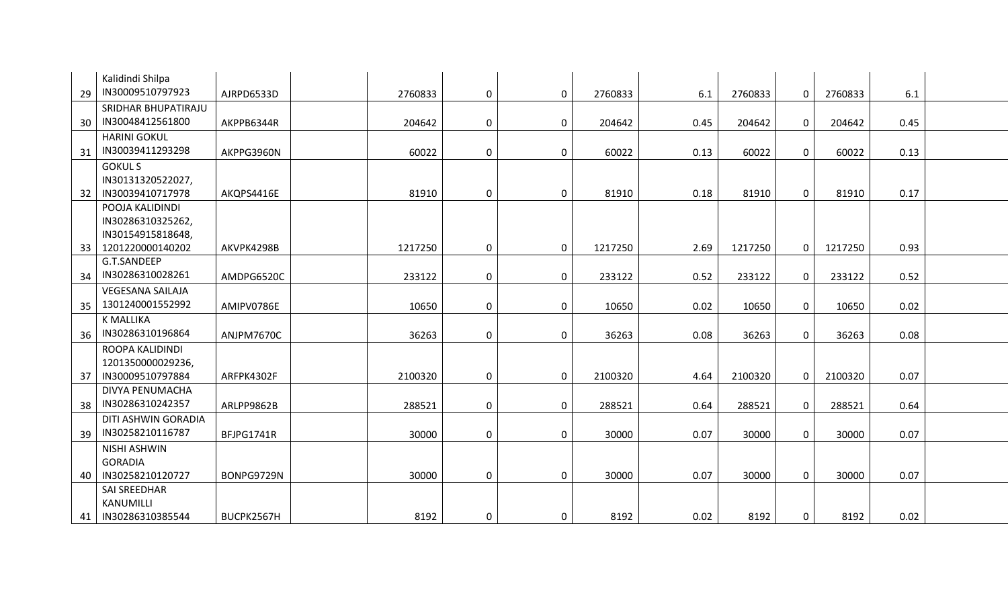|    | Kalidindi Shilpa        |            |         |             |             |         |      |         |              |         |      |  |
|----|-------------------------|------------|---------|-------------|-------------|---------|------|---------|--------------|---------|------|--|
| 29 | IN30009510797923        | AJRPD6533D | 2760833 | $\mathbf 0$ | $\mathbf 0$ | 2760833 | 6.1  | 2760833 | $\mathbf 0$  | 2760833 | 6.1  |  |
|    | SRIDHAR BHUPATIRAJU     |            |         |             |             |         |      |         |              |         |      |  |
| 30 | IN30048412561800        | AKPPB6344R | 204642  | $\mathbf 0$ | $\mathbf 0$ | 204642  | 0.45 | 204642  | $\mathbf 0$  | 204642  | 0.45 |  |
|    | <b>HARINI GOKUL</b>     |            |         |             |             |         |      |         |              |         |      |  |
| 31 | IN30039411293298        | AKPPG3960N | 60022   | $\mathbf 0$ | $\mathbf 0$ | 60022   | 0.13 | 60022   | $\mathbf{0}$ | 60022   | 0.13 |  |
|    | <b>GOKULS</b>           |            |         |             |             |         |      |         |              |         |      |  |
|    | IN30131320522027,       |            |         |             |             |         |      |         |              |         |      |  |
| 32 | IN30039410717978        | AKQPS4416E | 81910   | $\mathbf 0$ | $\mathbf 0$ | 81910   | 0.18 | 81910   | $\mathbf{0}$ | 81910   | 0.17 |  |
|    | POOJA KALIDINDI         |            |         |             |             |         |      |         |              |         |      |  |
|    | IN30286310325262,       |            |         |             |             |         |      |         |              |         |      |  |
|    | IN30154915818648,       |            |         |             |             |         |      |         |              |         |      |  |
| 33 | 1201220000140202        | AKVPK4298B | 1217250 | $\mathbf 0$ | $\mathbf 0$ | 1217250 | 2.69 | 1217250 | $\mathbf{0}$ | 1217250 | 0.93 |  |
|    | G.T.SANDEEP             |            |         |             |             |         |      |         |              |         |      |  |
| 34 | IN30286310028261        | AMDPG6520C | 233122  | $\mathbf 0$ | $\mathbf 0$ | 233122  | 0.52 | 233122  | $\mathbf 0$  | 233122  | 0.52 |  |
|    | <b>VEGESANA SAILAJA</b> |            |         |             |             |         |      |         |              |         |      |  |
| 35 | 1301240001552992        | AMIPV0786E | 10650   | $\mathbf 0$ | $\mathbf 0$ | 10650   | 0.02 | 10650   | $\mathbf 0$  | 10650   | 0.02 |  |
|    | <b>K MALLIKA</b>        |            |         |             |             |         |      |         |              |         |      |  |
| 36 | IN30286310196864        | ANJPM7670C | 36263   | $\mathbf 0$ | $\mathbf 0$ | 36263   | 0.08 | 36263   | $\mathbf{0}$ | 36263   | 0.08 |  |
|    | ROOPA KALIDINDI         |            |         |             |             |         |      |         |              |         |      |  |
|    | 1201350000029236,       |            |         |             |             |         |      |         |              |         |      |  |
| 37 | IN30009510797884        | ARFPK4302F | 2100320 | $\mathbf 0$ | $\mathbf 0$ | 2100320 | 4.64 | 2100320 | $\mathbf{0}$ | 2100320 | 0.07 |  |
|    | DIVYA PENUMACHA         |            |         |             |             |         |      |         |              |         |      |  |
| 38 | IN30286310242357        | ARLPP9862B | 288521  | $\mathbf 0$ | $\mathbf 0$ | 288521  | 0.64 | 288521  | $\mathbf{0}$ | 288521  | 0.64 |  |
|    | DITI ASHWIN GORADIA     |            |         |             |             |         |      |         |              |         |      |  |
| 39 | IN30258210116787        | BFJPG1741R | 30000   | $\mathbf 0$ | $\mathbf 0$ | 30000   | 0.07 | 30000   | $\mathbf 0$  | 30000   | 0.07 |  |
|    | <b>NISHI ASHWIN</b>     |            |         |             |             |         |      |         |              |         |      |  |
|    | <b>GORADIA</b>          |            |         |             |             |         |      |         |              |         |      |  |
| 40 | IN30258210120727        | BONPG9729N | 30000   | $\mathbf 0$ | $\mathbf 0$ | 30000   | 0.07 | 30000   | $\mathbf 0$  | 30000   | 0.07 |  |
|    | <b>SAI SREEDHAR</b>     |            |         |             |             |         |      |         |              |         |      |  |
|    | KANUMILLI               |            |         |             |             |         |      |         |              |         |      |  |
| 41 | IN30286310385544        | BUCPK2567H | 8192    | $\mathbf 0$ | 0           | 8192    | 0.02 | 8192    | $\mathbf{0}$ | 8192    | 0.02 |  |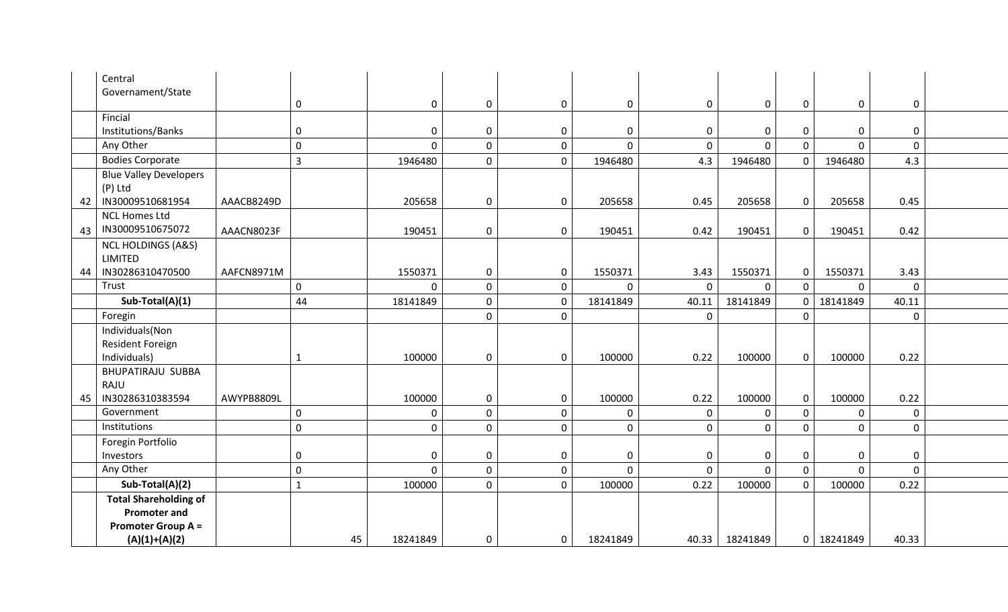|    | Central<br>Governament/State                                                     |            |                |                |             |                  |                |              |                |             |                  |             |  |
|----|----------------------------------------------------------------------------------|------------|----------------|----------------|-------------|------------------|----------------|--------------|----------------|-------------|------------------|-------------|--|
|    |                                                                                  |            | $\mathbf 0$    | $\mathbf{0}$   | $\mathbf 0$ | $\mathbf 0$      | $\mathbf 0$    | 0            | $\mathbf 0$    | 0           | $\mathbf 0$      | 0           |  |
|    | Fincial                                                                          |            |                |                |             |                  |                |              |                |             |                  |             |  |
|    | Institutions/Banks                                                               |            | 0              | 0              | $\mathbf 0$ | $\mathbf 0$      | $\mathbf 0$    | $\mathbf 0$  | $\mathbf 0$    | $\mathbf 0$ | $\boldsymbol{0}$ | $\mathbf 0$ |  |
|    | Any Other                                                                        |            | $\pmb{0}$      | $\Omega$       | $\pmb{0}$   | $\mathbf 0$      | $\mathbf 0$    | $\mathbf 0$  | $\overline{0}$ | $\Omega$    | $\mathbf 0$      | $\mathbf 0$ |  |
|    | <b>Bodies Corporate</b>                                                          |            | $\overline{3}$ | 1946480        | $\pmb{0}$   | $\mathbf 0$      | 1946480        | 4.3          | 1946480        | $\mathbf 0$ | 1946480          | 4.3         |  |
|    | <b>Blue Valley Developers</b><br>(P) Ltd                                         |            |                |                |             |                  |                |              |                |             |                  |             |  |
| 42 | IN30009510681954                                                                 | AAACB8249D |                | 205658         | $\pmb{0}$   | $\boldsymbol{0}$ | 205658         | 0.45         | 205658         | $\mathbf 0$ | 205658           | 0.45        |  |
| 43 | <b>NCL Homes Ltd</b><br>IN30009510675072                                         | AAACN8023F |                | 190451         | $\mathbf 0$ | $\mathbf 0$      | 190451         | 0.42         | 190451         | $\mathbf 0$ | 190451           | 0.42        |  |
|    | <b>NCL HOLDINGS (A&amp;S)</b><br><b>LIMITED</b>                                  |            |                |                |             |                  |                |              |                |             |                  |             |  |
| 44 | IN30286310470500                                                                 | AAFCN8971M |                | 1550371        | $\pmb{0}$   | $\boldsymbol{0}$ | 1550371        | 3.43         | 1550371        | $\mathbf 0$ | 1550371          | 3.43        |  |
|    | Trust                                                                            |            | $\mathbf 0$    | $\mathbf 0$    | $\pmb{0}$   | $\mathbf 0$      | $\mathbf{0}$   | $\mathbf 0$  | $\mathbf 0$    | $\mathbf 0$ | $\mathbf 0$      | $\mathbf 0$ |  |
|    | Sub-Total(A)(1)                                                                  |            | 44             | 18141849       | $\pmb{0}$   | $\mathbf 0$      | 18141849       | 40.11        | 18141849       | 0           | 18141849         | 40.11       |  |
|    | Foregin                                                                          |            |                |                | $\mathbf 0$ | $\mathbf 0$      |                | $\mathbf{0}$ |                | 0           |                  | $\mathbf 0$ |  |
|    | Individuals(Non                                                                  |            |                |                |             |                  |                |              |                |             |                  |             |  |
|    | Resident Foreign                                                                 |            |                |                |             |                  |                |              |                |             |                  |             |  |
|    | Individuals)                                                                     |            | $\mathbf{1}$   | 100000         | $\pmb{0}$   | $\boldsymbol{0}$ | 100000         | 0.22         | 100000         | $\mathbf 0$ | 100000           | 0.22        |  |
|    | <b>BHUPATIRAJU SUBBA</b>                                                         |            |                |                |             |                  |                |              |                |             |                  |             |  |
|    | RAJU                                                                             |            |                |                |             |                  |                |              |                |             |                  |             |  |
| 45 | IN30286310383594                                                                 | AWYPB8809L |                | 100000         | $\mathbf 0$ | $\boldsymbol{0}$ | 100000         | 0.22         | 100000         | 0           | 100000           | 0.22        |  |
|    | Government                                                                       |            | $\mathbf 0$    | $\mathbf 0$    | $\pmb{0}$   | $\boldsymbol{0}$ | 0              | $\pmb{0}$    | $\mathbf 0$    | 0           | $\mathbf 0$      | $\mathbf 0$ |  |
|    | Institutions                                                                     |            | $\pmb{0}$      | $\mathbf 0$    | $\mathbf 0$ | $\boldsymbol{0}$ | $\pmb{0}$      | $\mathbf 0$  | $\mathbf 0$    | 0           | $\mathbf 0$      | $\mathbf 0$ |  |
|    | Foregin Portfolio                                                                |            |                |                |             |                  |                |              |                |             |                  |             |  |
|    | Investors                                                                        |            | $\pmb{0}$      | $\mathbf{0}$   | $\mathbf 0$ | $\mathbf 0$      | $\pmb{0}$      | $\mathbf 0$  | $\mathbf 0$    | 0           | $\mathbf 0$      | $\mathbf 0$ |  |
|    | Any Other                                                                        |            | $\pmb{0}$      | $\overline{0}$ | $\mathbf 0$ | $\mathbf 0$      | $\overline{0}$ | $\mathbf 0$  | $\mathbf 0$    | $\mathbf 0$ | $\mathbf{0}$     | $\mathbf 0$ |  |
|    | Sub-Total(A)(2)                                                                  |            | $\mathbf{1}$   | 100000         | $\mathbf 0$ | $\mathbf 0$      | 100000         | 0.22         | 100000         | 0           | 100000           | 0.22        |  |
|    | <b>Total Shareholding of</b><br><b>Promoter and</b><br><b>Promoter Group A =</b> |            |                |                |             |                  |                |              |                |             |                  |             |  |
|    | $(A)(1)+(A)(2)$                                                                  |            | 45             | 18241849       | $\mathbf 0$ | $\mathbf 0$      | 18241849       | 40.33        | 18241849       |             | 0 18241849       | 40.33       |  |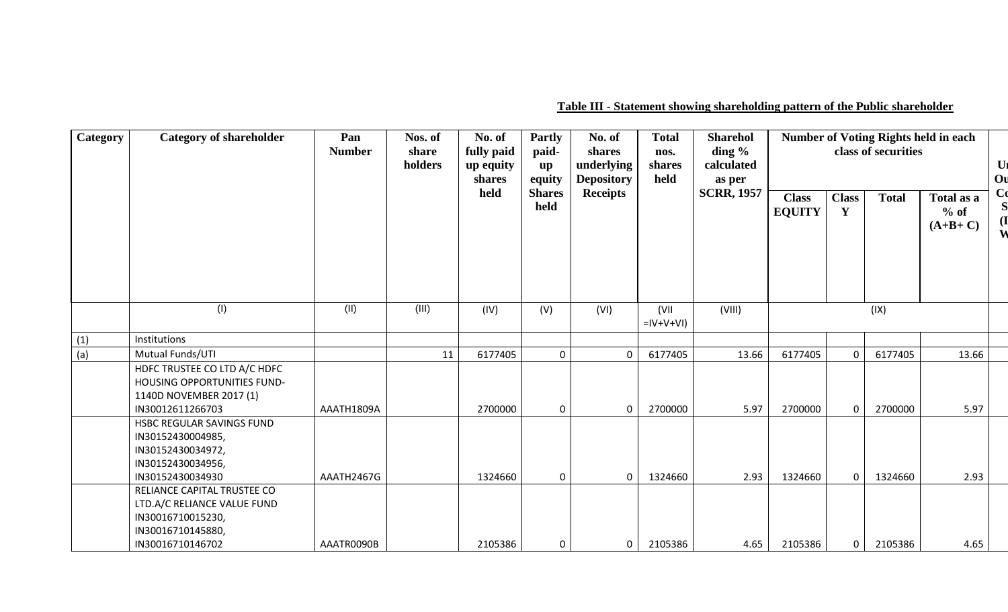**Table III - Statement showing shareholding pattern of the Public shareholder**

| <b>Category</b> | <b>Category of shareholder</b>                                                                               | Pan<br><b>Number</b> | Nos. of<br>share<br>holders | No. of<br>fully paid<br>up equity<br>shares<br>held | <b>Partly</b><br>paid-<br>$\mathbf{u}\mathbf{p}$<br>equity<br><b>Shares</b><br>held | No. of<br>shares<br>underlying<br><b>Depository</b><br><b>Receipts</b> | <b>Total</b><br>nos.<br>shares<br>held | <b>Sharehol</b><br>ding $\%$<br>calculated<br>as per<br><b>SCRR, 1957</b> | <b>Class</b><br><b>EQUITY</b> | <b>Class</b><br>$\mathbf{Y}$ | class of securities<br><b>Total</b> | <b>Number of Voting Rights held in each</b><br>Total as a<br>$%$ of<br>$(A+B+C)$ |
|-----------------|--------------------------------------------------------------------------------------------------------------|----------------------|-----------------------------|-----------------------------------------------------|-------------------------------------------------------------------------------------|------------------------------------------------------------------------|----------------------------------------|---------------------------------------------------------------------------|-------------------------------|------------------------------|-------------------------------------|----------------------------------------------------------------------------------|
|                 | (I)                                                                                                          | (II)                 | (III)                       | (IV)                                                | (V)                                                                                 | (VI)                                                                   | (VII<br>$=$ IV+V+VI)                   | (VIII)                                                                    |                               |                              | (IX)                                |                                                                                  |
| (1)             | Institutions                                                                                                 |                      |                             |                                                     |                                                                                     |                                                                        |                                        |                                                                           |                               |                              |                                     |                                                                                  |
| (a)             | Mutual Funds/UTI                                                                                             |                      | 11                          | 6177405                                             | $\Omega$                                                                            | $\mathbf{0}$                                                           | 6177405                                | 13.66                                                                     | 6177405                       |                              | 6177405                             | 13.66                                                                            |
|                 | HDFC TRUSTEE CO LTD A/C HDFC<br>HOUSING OPPORTUNITIES FUND-<br>1140D NOVEMBER 2017 (1)<br>IN30012611266703   | AAATH1809A           |                             | 2700000                                             |                                                                                     | $\Omega$                                                               | 2700000                                | 5.97                                                                      | 2700000                       |                              | 2700000                             | 5.97                                                                             |
|                 | HSBC REGULAR SAVINGS FUND<br>IN30152430004985,<br>IN30152430034972,<br>IN30152430034956,<br>IN30152430034930 | AAATH2467G           |                             | 1324660                                             |                                                                                     | $\Omega$                                                               | 1324660                                | 2.93                                                                      | 1324660                       | $\Omega$                     | 1324660                             | 2.93                                                                             |
|                 | RELIANCE CAPITAL TRUSTEE CO<br>LTD.A/C RELIANCE VALUE FUND<br>IN30016710015230,<br>IN30016710145880,         |                      |                             |                                                     |                                                                                     |                                                                        |                                        |                                                                           |                               |                              |                                     |                                                                                  |
|                 | IN30016710146702                                                                                             | AAATR0090B           |                             | 2105386                                             |                                                                                     | $\Omega$                                                               | 2105386                                | 4.65                                                                      | 2105386                       | $\mathbf{0}$                 | 2105386                             | 4.65                                                                             |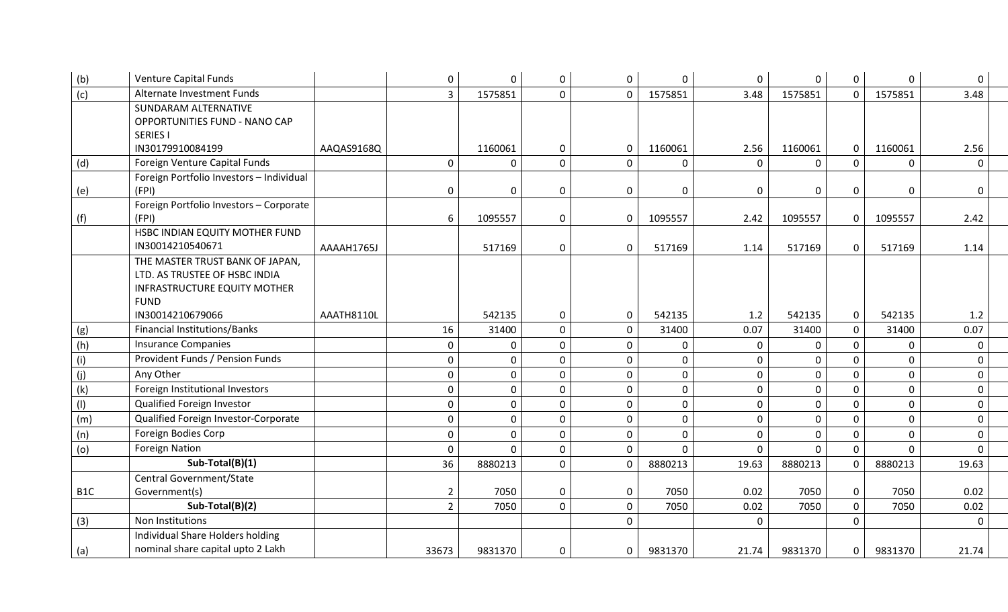| (b)              | <b>Venture Capital Funds</b>             |            | $\boldsymbol{0}$ | $\mathbf{0}$ | 0              | $\mathbf 0$    | $\mathbf 0$  | $\pmb{0}$      | 0              | $\overline{0}$ | 0              | $\Omega$     |  |
|------------------|------------------------------------------|------------|------------------|--------------|----------------|----------------|--------------|----------------|----------------|----------------|----------------|--------------|--|
| $\overline{(c)}$ | Alternate Investment Funds               |            | $\overline{3}$   | 1575851      | $\overline{0}$ | $\overline{0}$ | 1575851      | 3.48           | 1575851        | $\overline{0}$ | 1575851        | 3.48         |  |
|                  | SUNDARAM ALTERNATIVE                     |            |                  |              |                |                |              |                |                |                |                |              |  |
|                  | OPPORTUNITIES FUND - NANO CAP            |            |                  |              |                |                |              |                |                |                |                |              |  |
|                  | <b>SERIES I</b>                          |            |                  |              |                |                |              |                |                |                |                |              |  |
|                  | IN30179910084199                         | AAQAS9168Q |                  | 1160061      | $\mathbf 0$    | $\mathbf 0$    | 1160061      | 2.56           | 1160061        | $\mathbf 0$    | 1160061        | 2.56         |  |
| (d)              | Foreign Venture Capital Funds            |            | $\mathbf 0$      | $\mathbf 0$  | $\overline{0}$ | $\mathbf 0$    | $\mathbf{0}$ | $\mathbf 0$    | $\Omega$       | $\Omega$       | $\mathbf{0}$   | $\mathbf{0}$ |  |
|                  | Foreign Portfolio Investors - Individual |            |                  |              |                |                |              |                |                |                |                |              |  |
| (e)              | (FPI)                                    |            | $\mathbf 0$      | $\mathbf 0$  | 0              | $\mathbf 0$    | $\mathbf 0$  | $\Omega$       | 0              | 0              | 0              | 0            |  |
|                  | Foreign Portfolio Investors - Corporate  |            |                  |              |                |                |              |                |                |                |                |              |  |
| (f)              | (FPI)                                    |            | 6                | 1095557      | 0              | $\mathbf 0$    | 1095557      | 2.42           | 1095557        | $\mathbf{0}$   | 1095557        | 2.42         |  |
|                  | HSBC INDIAN EQUITY MOTHER FUND           |            |                  |              |                |                |              |                |                |                |                |              |  |
|                  | IN30014210540671                         | AAAAH1765J |                  | 517169       | 0              | $\mathbf 0$    | 517169       | 1.14           | 517169         | $\mathbf 0$    | 517169         | 1.14         |  |
|                  | THE MASTER TRUST BANK OF JAPAN,          |            |                  |              |                |                |              |                |                |                |                |              |  |
|                  | LTD. AS TRUSTEE OF HSBC INDIA            |            |                  |              |                |                |              |                |                |                |                |              |  |
|                  | <b>INFRASTRUCTURE EQUITY MOTHER</b>      |            |                  |              |                |                |              |                |                |                |                |              |  |
|                  | <b>FUND</b>                              |            |                  |              |                |                |              |                |                |                |                |              |  |
|                  | IN30014210679066                         | AAATH8110L |                  | 542135       | $\mathbf 0$    | $\mathbf 0$    | 542135       | 1.2            | 542135         | $\overline{0}$ | 542135         | 1.2          |  |
| (g)              | <b>Financial Institutions/Banks</b>      |            | 16               | 31400        | $\overline{0}$ | $\mathbf 0$    | 31400        | 0.07           | 31400          | $\overline{0}$ | 31400          | 0.07         |  |
| (h)              | <b>Insurance Companies</b>               |            | $\mathbf 0$      | $\mathbf 0$  | $\overline{0}$ | $\mathbf 0$    | $\mathbf 0$  | $\mathbf 0$    | $\mathbf{0}$   | $\overline{0}$ | 0              | $\mathbf 0$  |  |
| (i)              | Provident Funds / Pension Funds          |            | $\mathbf 0$      | $\mathbf 0$  | $\overline{0}$ | $\mathbf 0$    | $\pmb{0}$    | $\overline{0}$ | $\mathbf{0}$   | $\mathbf{0}$   | $\mathbf{0}$   | $\mathbf{0}$ |  |
| (j)              | Any Other                                |            | $\mathbf{0}$     | $\mathbf 0$  | $\mathbf 0$    | $\pmb{0}$      | $\mathbf 0$  | $\mathbf 0$    | $\overline{0}$ | $\mathbf{0}$   | $\mathbf{0}$   | $\mathbf{0}$ |  |
| (k)              | Foreign Institutional Investors          |            | $\mathbf 0$      | $\mathbf 0$  | 0              | $\mathbf 0$    | $\mathbf 0$  | $\mathbf{0}$   | $\mathbf{0}$   | $\mathbf 0$    | $\mathbf{0}$   | $\mathbf{0}$ |  |
| (1)              | Qualified Foreign Investor               |            | $\mathbf 0$      | $\mathbf 0$  | 0              | $\mathbf 0$    | $\mathbf 0$  | $\mathbf 0$    | $\overline{0}$ | $\mathbf{0}$   | $\overline{0}$ | $\mathbf{0}$ |  |
| (m)              | Qualified Foreign Investor-Corporate     |            | $\overline{0}$   | $\mathbf{0}$ | $\mathbf{0}$   | $\mathbf{0}$   | $\mathbf{0}$ | $\mathbf 0$    | $\Omega$       | $\overline{0}$ | $\overline{0}$ | $\mathbf{0}$ |  |
| (n)              | Foreign Bodies Corp                      |            | $\overline{0}$   | $\mathbf 0$  | 0              | $\pmb{0}$      | $\mathbf 0$  | $\mathbf 0$    | 0              | $\overline{0}$ | $\mathbf{0}$   | $\mathbf{0}$ |  |
| (o)              | <b>Foreign Nation</b>                    |            | $\mathbf{0}$     | $\mathbf{0}$ | 0              | $\mathbf{0}$   | $\Omega$     | $\Omega$       | $\Omega$       | $\overline{0}$ | $\Omega$       | $\Omega$     |  |
|                  | Sub-Total(B)(1)                          |            | 36               | 8880213      | $\overline{0}$ | $\mathbf 0$    | 8880213      | 19.63          | 8880213        | $\overline{0}$ | 8880213        | 19.63        |  |
|                  | Central Government/State                 |            |                  |              |                |                |              |                |                |                |                |              |  |
| B <sub>1</sub> C | Government(s)                            |            | $\overline{2}$   | 7050         | 0              | $\pmb{0}$      | 7050         | 0.02           | 7050           | $\mathbf 0$    | 7050           | 0.02         |  |
|                  | Sub-Total(B)(2)                          |            | $\overline{2}$   | 7050         | $\overline{0}$ | $\pmb{0}$      | 7050         | 0.02           | 7050           | $\overline{0}$ | 7050           | 0.02         |  |
| (3)              | Non Institutions                         |            |                  |              |                | $\overline{0}$ |              | $\Omega$       |                | $\overline{0}$ |                | $\Omega$     |  |
|                  | Individual Share Holders holding         |            |                  |              |                |                |              |                |                |                |                |              |  |
| (a)              | nominal share capital upto 2 Lakh        |            | 33673            | 9831370      | 0              | 0              | 9831370      | 21.74          | 9831370        | $\mathbf 0$    | 9831370        | 21.74        |  |